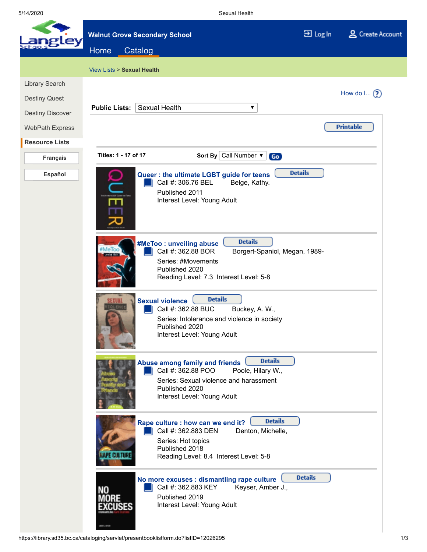5/14/2020 Sexual Health

|                         | <b>Walnut Grove Secondary School</b>                                                                                                                                                                                            | 권 Log In       | & Create Account |  |
|-------------------------|---------------------------------------------------------------------------------------------------------------------------------------------------------------------------------------------------------------------------------|----------------|------------------|--|
| lev                     | Home<br>Catalog                                                                                                                                                                                                                 |                |                  |  |
|                         | View Lists > Sexual Health                                                                                                                                                                                                      |                |                  |  |
| Library Search          |                                                                                                                                                                                                                                 |                |                  |  |
| <b>Destiny Quest</b>    |                                                                                                                                                                                                                                 |                | How do $\ln(2)$  |  |
| <b>Destiny Discover</b> | <b>Sexual Health</b><br><b>Public Lists:</b><br>▼                                                                                                                                                                               |                |                  |  |
| <b>WebPath Express</b>  |                                                                                                                                                                                                                                 |                | <b>Printable</b> |  |
| <b>Resource Lists</b>   |                                                                                                                                                                                                                                 |                |                  |  |
| Français                | Titles: 1 - 17 of 17<br>Sort By Call Number $\blacktriangledown$<br>Go                                                                                                                                                          |                |                  |  |
| Español                 | <b>Details</b><br>Queer: the ultimate LGBT guide for teens<br>Call #: 306.76 BEL<br>Belge, Kathy.<br>Published 2011<br>Interest Level: Young Adult<br>ш                                                                         |                |                  |  |
|                         | <b>Details</b><br>#MeToo : unveiling abuse<br>Call #: 362.88 BOR<br>Borgert-Spaniol, Megan, 1989-<br>Series: #Movements<br>Published 2020<br>Reading Level: 7.3 Interest Level: 5-8                                             |                |                  |  |
|                         | <b>Details</b><br><b>Sexual violence</b><br>Call #: 362.88 BUC<br>Buckey, A. W.,<br>Series: Intolerance and violence in society<br>Published 2020<br>Interest Level: Young Adult                                                |                |                  |  |
|                         | <b>Details</b><br>Abuse among family and friends<br>Call #: 362.88 POO<br>Poole, Hilary W.,<br>Series: Sexual violence and harassment<br>Published 2020<br>Interest Level: Young Adult                                          |                |                  |  |
|                         | <b>Details</b><br>Rape culture : how can we end it?<br>Call #: 362.883 DEN<br>Denton, Michelle,<br>Series: Hot topics<br>Published 2018<br>Reading Level: 8.4 Interest Level: 5-8                                               |                |                  |  |
|                         | No more excuses : dismantling rape culture<br>Call #: 362.883 KEY<br>Keyser, Amber J.,<br>Published 2019<br>Interest Level: Young Adult<br>https://library.sd35.bc.ca/cataloging/servlet/presentbooklistform.do?listID=12026295 | <b>Details</b> | 1/3              |  |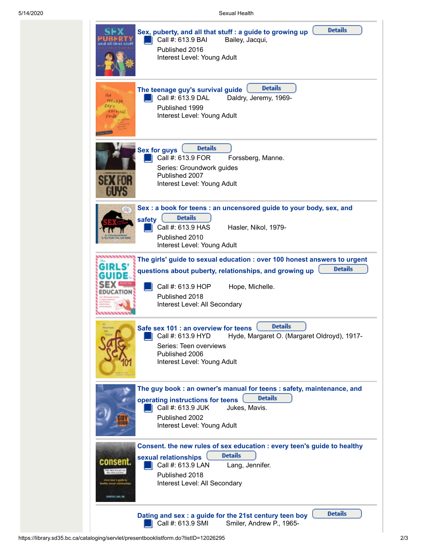